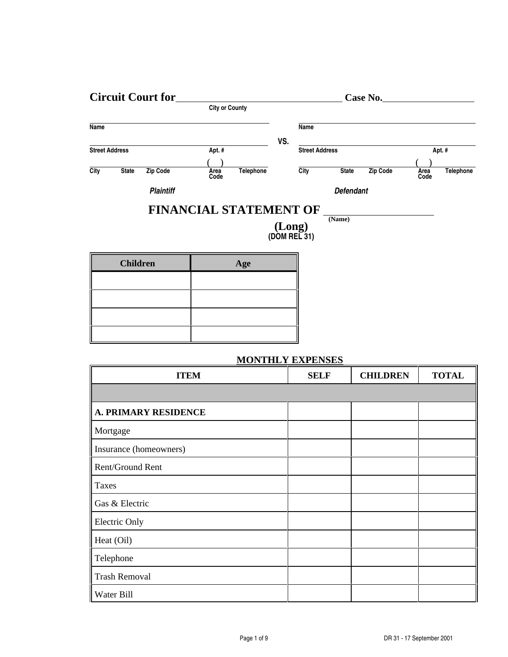| <b>Circuit Court for</b> |                       |                  |                       | Case No.  |     |                       |                  |          |              |                  |
|--------------------------|-----------------------|------------------|-----------------------|-----------|-----|-----------------------|------------------|----------|--------------|------------------|
|                          |                       |                  | <b>City or County</b> |           |     |                       |                  |          |              |                  |
| Name                     |                       |                  |                       |           |     | Name                  |                  |          |              |                  |
|                          |                       |                  |                       |           | VS. |                       |                  |          |              |                  |
|                          | <b>Street Address</b> |                  | Apt. #                |           |     | <b>Street Address</b> |                  |          |              | Apt. #           |
|                          |                       |                  |                       |           |     |                       |                  |          |              |                  |
| City                     | <b>State</b>          | Zip Code         | Area<br>Code          | Telephone |     | City                  | <b>State</b>     | Zip Code | Area<br>Code | <b>Telephone</b> |
|                          |                       | <b>Plaintiff</b> |                       |           |     |                       | <b>Defendant</b> |          |              |                  |

## **FINANCIAL STATEMENT OF**

**(Long) (DOM REL 31)** **(Name)**

| <b>Children</b> | Age |
|-----------------|-----|
|                 |     |
|                 |     |
|                 |     |
|                 |     |

## **MONTHLY EXPENSES**

| <b>ITEM</b>                 | <b>SELF</b> | <b>CHILDREN</b> | <b>TOTAL</b> |
|-----------------------------|-------------|-----------------|--------------|
|                             |             |                 |              |
| <b>A. PRIMARY RESIDENCE</b> |             |                 |              |
| Mortgage                    |             |                 |              |
| Insurance (homeowners)      |             |                 |              |
| Rent/Ground Rent            |             |                 |              |
| <b>Taxes</b>                |             |                 |              |
| Gas & Electric              |             |                 |              |
| <b>Electric Only</b>        |             |                 |              |
| Heat (Oil)                  |             |                 |              |
| Telephone                   |             |                 |              |
| <b>Trash Removal</b>        |             |                 |              |
| Water Bill                  |             |                 |              |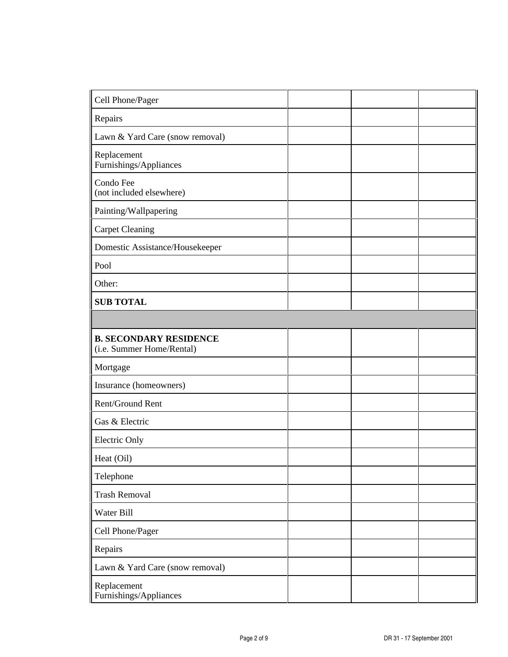| Cell Phone/Pager                                           |  |  |
|------------------------------------------------------------|--|--|
| Repairs                                                    |  |  |
| Lawn & Yard Care (snow removal)                            |  |  |
| Replacement<br>Furnishings/Appliances                      |  |  |
| Condo Fee<br>(not included elsewhere)                      |  |  |
| Painting/Wallpapering                                      |  |  |
| <b>Carpet Cleaning</b>                                     |  |  |
| Domestic Assistance/Housekeeper                            |  |  |
| Pool                                                       |  |  |
| Other:                                                     |  |  |
| <b>SUB TOTAL</b>                                           |  |  |
|                                                            |  |  |
| <b>B. SECONDARY RESIDENCE</b><br>(i.e. Summer Home/Rental) |  |  |
| Mortgage                                                   |  |  |
| Insurance (homeowners)                                     |  |  |
| Rent/Ground Rent                                           |  |  |
| Gas & Electric                                             |  |  |
| <b>Electric Only</b>                                       |  |  |
| Heat (Oil)                                                 |  |  |
| Telephone                                                  |  |  |
| <b>Trash Removal</b>                                       |  |  |
| Water Bill                                                 |  |  |
| Cell Phone/Pager                                           |  |  |
| Repairs                                                    |  |  |
| Lawn & Yard Care (snow removal)                            |  |  |
| Replacement<br>Furnishings/Appliances                      |  |  |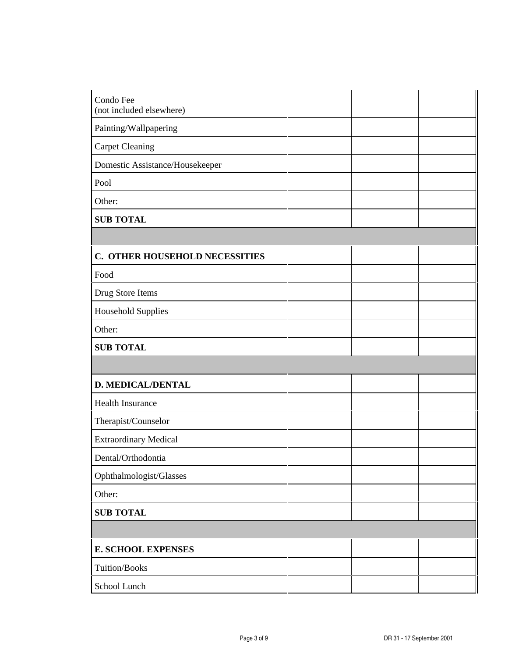| Condo Fee<br>(not included elsewhere) |  |  |
|---------------------------------------|--|--|
| Painting/Wallpapering                 |  |  |
| <b>Carpet Cleaning</b>                |  |  |
| Domestic Assistance/Housekeeper       |  |  |
| Pool                                  |  |  |
| Other:                                |  |  |
| <b>SUB TOTAL</b>                      |  |  |
|                                       |  |  |
| C. OTHER HOUSEHOLD NECESSITIES        |  |  |
| Food                                  |  |  |
| Drug Store Items                      |  |  |
| <b>Household Supplies</b>             |  |  |
| Other:                                |  |  |
| <b>SUB TOTAL</b>                      |  |  |
|                                       |  |  |
| <b>D. MEDICAL/DENTAL</b>              |  |  |
| <b>Health Insurance</b>               |  |  |
| Therapist/Counselor                   |  |  |
| <b>Extraordinary Medical</b>          |  |  |
| Dental/Orthodontia                    |  |  |
| Ophthalmologist/Glasses               |  |  |
| Other:                                |  |  |
| <b>SUB TOTAL</b>                      |  |  |
|                                       |  |  |
| <b>E. SCHOOL EXPENSES</b>             |  |  |
| Tuition/Books                         |  |  |
| School Lunch                          |  |  |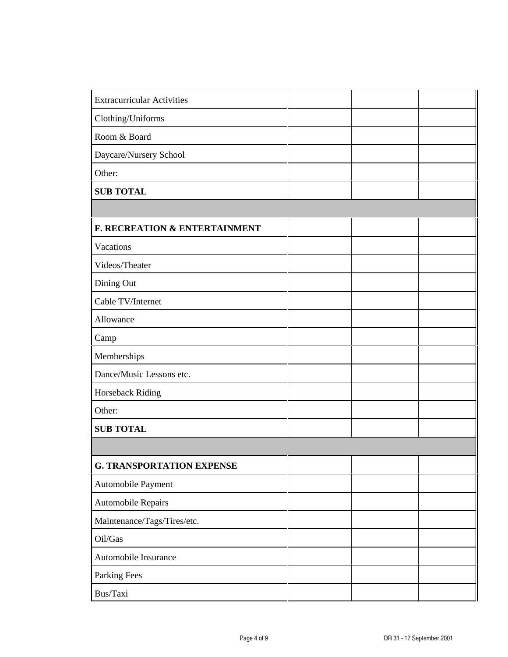| Extracurricular Activities       |  |  |
|----------------------------------|--|--|
| Clothing/Uniforms                |  |  |
| Room & Board                     |  |  |
| Daycare/Nursery School           |  |  |
| Other:                           |  |  |
| <b>SUB TOTAL</b>                 |  |  |
|                                  |  |  |
| F. RECREATION & ENTERTAINMENT    |  |  |
| Vacations                        |  |  |
| Videos/Theater                   |  |  |
| Dining Out                       |  |  |
| Cable TV/Internet                |  |  |
| Allowance                        |  |  |
| Camp                             |  |  |
| Memberships                      |  |  |
| Dance/Music Lessons etc.         |  |  |
| Horseback Riding                 |  |  |
| Other:                           |  |  |
| <b>SUB TOTAL</b>                 |  |  |
|                                  |  |  |
| <b>G. TRANSPORTATION EXPENSE</b> |  |  |
| Automobile Payment               |  |  |
| Automobile Repairs               |  |  |
| Maintenance/Tags/Tires/etc.      |  |  |
| Oil/Gas                          |  |  |
| Automobile Insurance             |  |  |
| Parking Fees                     |  |  |
| Bus/Taxi                         |  |  |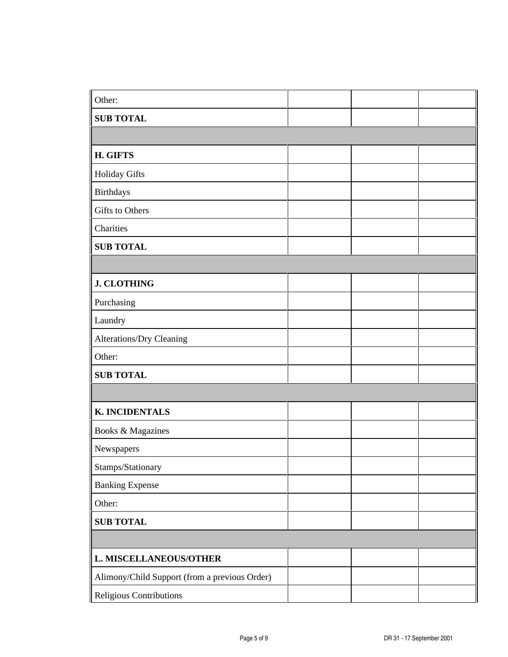| $\sqrt{\frac{1}{\text{Other}}}$               |  |  |
|-----------------------------------------------|--|--|
| <b>SUB TOTAL</b>                              |  |  |
|                                               |  |  |
| H. GIFTS                                      |  |  |
| Holiday Gifts                                 |  |  |
| <b>Birthdays</b>                              |  |  |
| Gifts to Others                               |  |  |
| Charities                                     |  |  |
| <b>SUB TOTAL</b>                              |  |  |
|                                               |  |  |
| <b>J. CLOTHING</b>                            |  |  |
| Purchasing                                    |  |  |
| Laundry                                       |  |  |
| Alterations/Dry Cleaning                      |  |  |
| Other:                                        |  |  |
| <b>SUB TOTAL</b>                              |  |  |
|                                               |  |  |
| <b>K. INCIDENTALS</b>                         |  |  |
| Books & Magazines                             |  |  |
| Newspapers                                    |  |  |
| Stamps/Stationary                             |  |  |
| <b>Banking Expense</b>                        |  |  |
| Other:                                        |  |  |
| <b>SUB TOTAL</b>                              |  |  |
|                                               |  |  |
| <b>L. MISCELLANEOUS/OTHER</b>                 |  |  |
| Alimony/Child Support (from a previous Order) |  |  |
| Religious Contributions                       |  |  |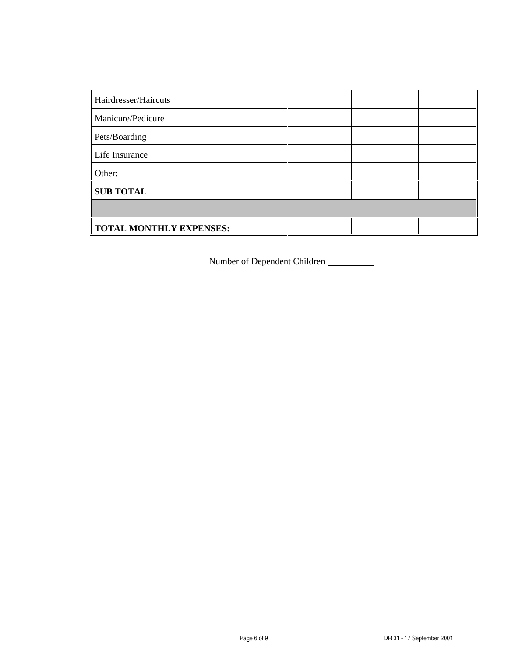| Hairdresser/Haircuts    |  |  |
|-------------------------|--|--|
| Manicure/Pedicure       |  |  |
| Pets/Boarding           |  |  |
| Life Insurance          |  |  |
| Other:                  |  |  |
| <b>SUB TOTAL</b>        |  |  |
|                         |  |  |
| TOTAL MONTHLY EXPENSES: |  |  |

Number of Dependent Children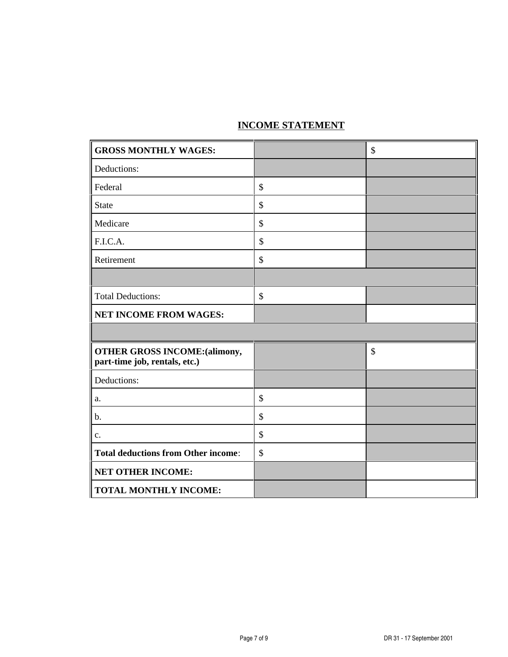## **INCOME STATEMENT**

| <b>GROSS MONTHLY WAGES:</b>                                           | \$                        |
|-----------------------------------------------------------------------|---------------------------|
| Deductions:                                                           |                           |
| Federal                                                               | \$                        |
| <b>State</b>                                                          | \$                        |
| Medicare                                                              | \$                        |
| F.I.C.A.                                                              | \$                        |
| Retirement                                                            | \$                        |
|                                                                       |                           |
| <b>Total Deductions:</b>                                              | \$                        |
| <b>NET INCOME FROM WAGES:</b>                                         |                           |
|                                                                       |                           |
| <b>OTHER GROSS INCOME: (alimony,</b><br>part-time job, rentals, etc.) | $\boldsymbol{\mathsf{S}}$ |
| Deductions:                                                           |                           |
| a.                                                                    | \$                        |
| b.                                                                    | \$                        |
| c.                                                                    | \$                        |
| <b>Total deductions from Other income:</b>                            | \$                        |
| <b>NET OTHER INCOME:</b>                                              |                           |
| <b>TOTAL MONTHLY INCOME:</b>                                          |                           |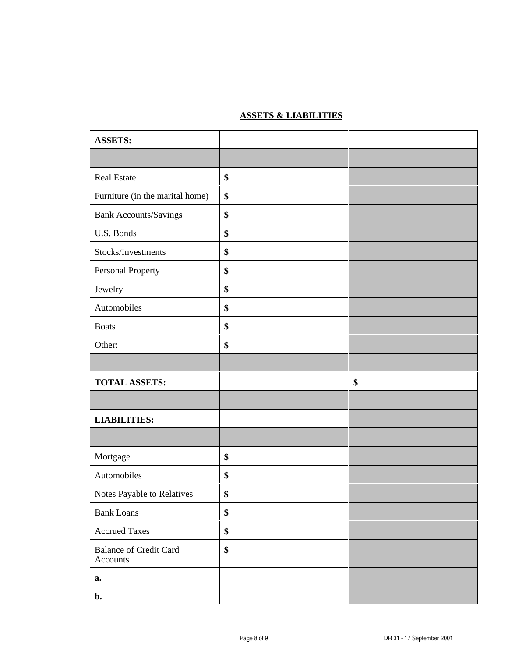## **ASSETS & LIABILITIES**

| <b>ASSETS:</b>                            |    |
|-------------------------------------------|----|
|                                           |    |
| <b>Real Estate</b>                        | \$ |
| Furniture (in the marital home)           | \$ |
| Bank Accounts/Savings                     | \$ |
| U.S. Bonds                                | \$ |
| Stocks/Investments                        | \$ |
| Personal Property                         | \$ |
| Jewelry                                   | \$ |
| Automobiles                               | \$ |
| <b>Boats</b>                              | \$ |
| Other:                                    | \$ |
|                                           |    |
| <b>TOTAL ASSETS:</b>                      | \$ |
|                                           |    |
| <b>LIABILITIES:</b>                       |    |
|                                           |    |
| Mortgage                                  | \$ |
| Automobiles                               | \$ |
| Notes Payable to Relatives                | \$ |
| <b>Bank Loans</b>                         | \$ |
| <b>Accrued Taxes</b>                      | \$ |
| <b>Balance of Credit Card</b><br>Accounts | \$ |
| a.                                        |    |
| $\mathbf{b}$ .                            |    |